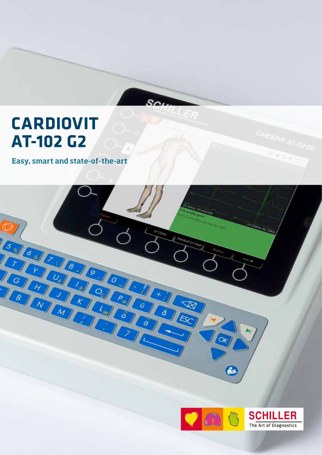# **CARDIOVIT AT-102 G2**

Easy, smart and state-of-the-art



**ARDIOWT AT-102 G2** 

 $2.848$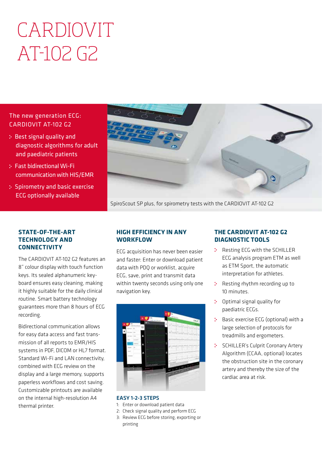# CARDIOVIT AT-102 G2

## The new generation ECG: CARDIOVIT AT-102 G2

- : Best signal quality and diagnostic algorithms for adult and paediatric patients
- Fast bidirectional Wi-Fi communication with HIS/EMR
- : Spirometry and basic exercise ECG optionally available



SpiroScout SP plus, for spirometry tests with the CARDIOVIT AT-102 G2

#### **STATE-OF-THE-ART TECHNOLOGY AND CONNECTIVITY**

The CARDIOVIT AT-102 G2 features an 8" colour display with touch function keys. Its sealed alphanumeric keyboard ensures easy cleaning, making it highly suitable for the daily clinical routine. Smart battery technology guarantees more than 8 hours of ECG recording.

Bidirectional communication allows for easy data access and fast transmission of all reports to EMR/HIS systems in PDF, DICOM or HL7 format. Standard Wi-Fi and LAN connectivity, combined with ECG review on the display and a large memory, supports paperless workflows and cost saving. Customizable printouts are available on the internal high-resolution A4 thermal printer.

### **HIGH EFFICIENCY IN ANY WORKFLOW**

ECG acquisition has never been easier and faster: Enter or download patient data with PDQ or worklist, acquire ECG, save, print and transmit data within twenty seconds using only one navigation key.



#### EASY 1-2-3 STEPS

- 1: Enter or download patient data
- 2: Check signal quality and perform ECG
- 3: Review ECG before storing, exporting or printing

#### **THE CARDIOVIT AT-102 G2 DIAGNOSTIC TOOLS**

- : Resting ECG with the SCHILLER ECG analysis program ETM as well as ETM Sport, the automatic interpretation for athletes.
- : Resting rhythm recording up to 10 minutes.
- $\mathcal{D}^{\text{max}}$ Optimal signal quality for paediatric ECGs.
- **Basic exercise ECG (optional) with a** large selection of protocols for treadmills and ergometers.
- $\mathbb{R}^{\mathbb{Z}^2}$ SCHILLER's Culprit Coronary Artery Algorithm (CCAA, optional) locates the obstruction site in the coronary artery and thereby the size of the cardiac area at risk.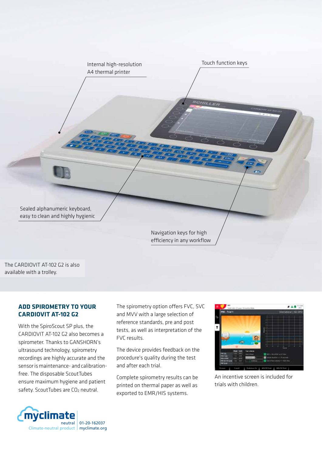

The CARDIOVIT AT-102 G2 is also available with a trolley.

#### **ADD SPIROMETRY TO YOUR CARDIOVIT AT-102 G2**

With the SpiroScout SP plus, the CARDIOVIT AT-102 G2 also becomes a spirometer. Thanks to GANSHORN's ultrasound technology, spirometry recordings are highly accurate and the sensor is maintenance- and calibrationfree. The disposable ScoutTubes ensure maximum hygiene and patient safety. ScoutTubes are CO<sub>2</sub> neutral.

The spirometry option offers FVC, SVC and MVV with a large selection of reference standards, pre and post tests, as well as interpretation of the FVC results.

The device provides feedback on the procedure's quality during the test and after each trial.

Complete spirometry results can be printed on thermal paper as well as exported to EMR/HIS systems.



An incentive screen is included for trials with children.